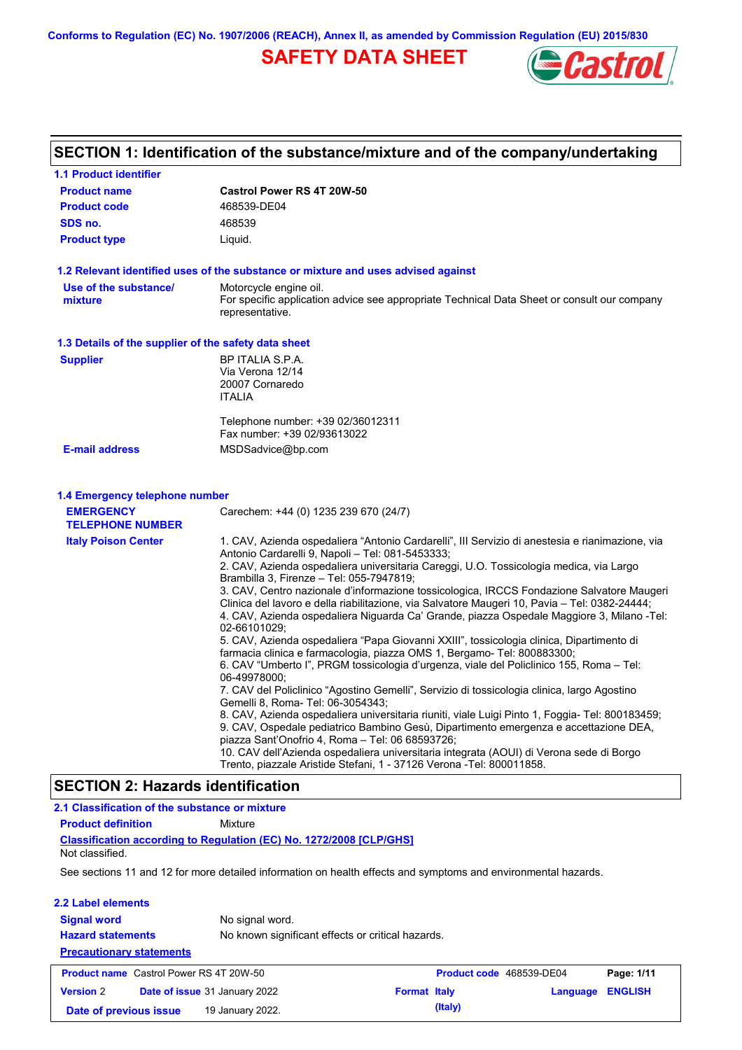**Conforms to Regulation (EC) No. 1907/2006 (REACH), Annex II, as amended by Commission Regulation (EU) 2015/830**

# **SAFETY DATA SHEET**



#### **Castrol Power RS 4T 20W-50 Product name 1.1 Product identifier 1.3 Details of the supplier of the safety data sheet Product type Liquid. E-mail address** MSDSadvice@bp.com **1.2 Relevant identified uses of the substance or mixture and uses advised against SECTION 1: Identification of the substance/mixture and of the company/undertaking Product code 468539-DE04 1.4 Emergency telephone number EMERGENCY TELEPHONE NUMBER** Carechem: +44 (0) 1235 239 670 (24/7) **Supplier** BP ITALIA S.P.A. Via Verona 12/14 20007 Cornaredo ITALIA Telephone number: +39 02/36012311 Fax number: +39 02/93613022 **SDS no.** 468539 **Use of the substance/ mixture** Motorcycle engine oil. For specific application advice see appropriate Technical Data Sheet or consult our company representative. 1. CAV, Azienda ospedaliera "Antonio Cardarelli", III Servizio di anestesia e rianimazione, via Antonio Cardarelli 9, Napoli – Tel: 081-5453333; 2. CAV, Azienda ospedaliera universitaria Careggi, U.O. Tossicologia medica, via Largo Brambilla 3, Firenze – Tel: 055-7947819; 3. CAV, Centro nazionale d'informazione tossicologica, IRCCS Fondazione Salvatore Maugeri Clinica del lavoro e della riabilitazione, via Salvatore Maugeri 10, Pavia – Tel: 0382-24444; 4. CAV, Azienda ospedaliera Niguarda Ca' Grande, piazza Ospedale Maggiore 3, Milano -Tel: 02-66101029; 5. CAV, Azienda ospedaliera "Papa Giovanni XXIII", tossicologia clinica, Dipartimento di farmacia clinica e farmacologia, piazza OMS 1, Bergamo- Tel: 800883300; 6. CAV "Umberto I", PRGM tossicologia d'urgenza, viale del Policlinico 155, Roma – Tel: 06-49978000; 7. CAV del Policlinico "Agostino Gemelli", Servizio di tossicologia clinica, largo Agostino Gemelli 8, Roma- Tel: 06-3054343; 8. CAV, Azienda ospedaliera universitaria riuniti, viale Luigi Pinto 1, Foggia- Tel: 800183459; 9. CAV, Ospedale pediatrico Bambino Gesù, Dipartimento emergenza e accettazione DEA, piazza Sant'Onofrio 4, Roma – Tel: 06 68593726; 10. CAV dell'Azienda ospedaliera universitaria integrata (AOUI) di Verona sede di Borgo Trento, piazzale Aristide Stefani, 1 - 37126 Verona -Tel: 800011858. **Italy Poison Center Classification according to Regulation (EC) No. 1272/2008 [CLP/GHS] SECTION 2: Hazards identification 2.1 Classification of the substance or mixture Product definition** Mixture

Not classified.

See sections 11 and 12 for more detailed information on health effects and symptoms and environmental hazards.

| 2.2 Label elements<br><b>Signal word</b><br><b>Hazard statements</b><br><b>Precautionary statements</b> | No signal word.<br>No known significant effects or critical hazards. |                     |                          |          |                |
|---------------------------------------------------------------------------------------------------------|----------------------------------------------------------------------|---------------------|--------------------------|----------|----------------|
| <b>Product name</b> Castrol Power RS 4T 20W-50                                                          |                                                                      |                     | Product code 468539-DE04 |          | Page: 1/11     |
| <b>Version 2</b>                                                                                        | Date of issue 31 January 2022                                        | <b>Format Italy</b> |                          | Language | <b>ENGLISH</b> |
| Date of previous issue                                                                                  | 19 January 2022.                                                     |                     | (Italy)                  |          |                |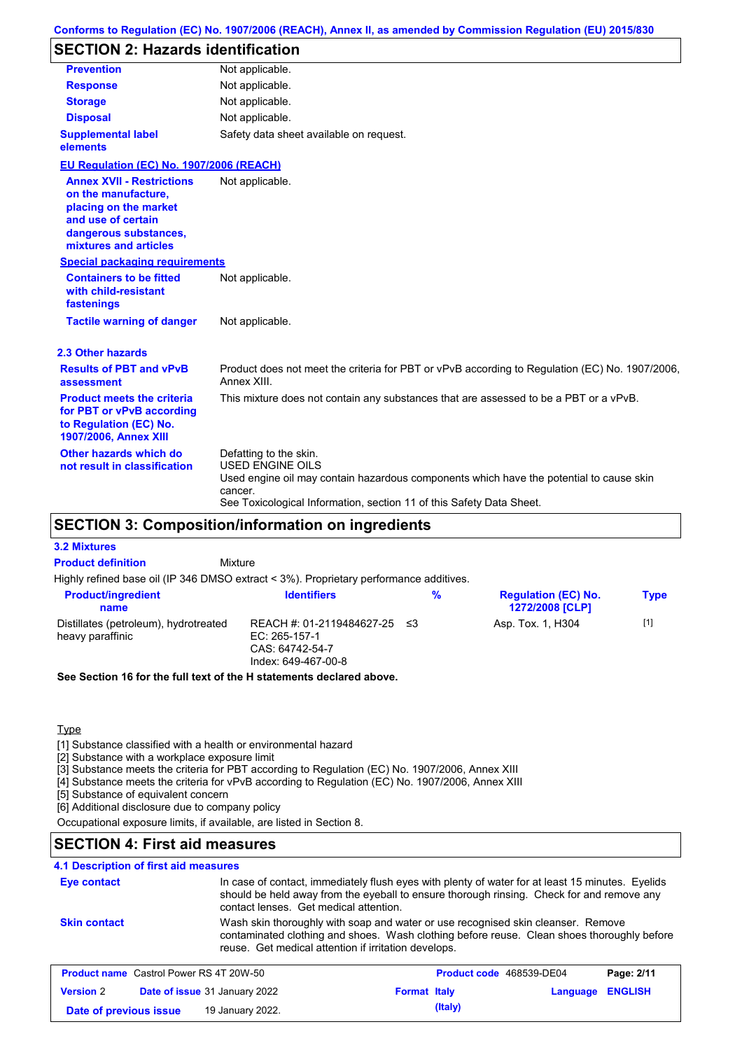#### **Conforms to Regulation (EC) No. 1907/2006 (REACH), Annex II, as amended by Commission Regulation (EU) 2015/830**

### **SECTION 2: Hazards identification**

| <b>Prevention</b>                                                                                                                                        | Not applicable.                                                                                                                                                                                                                 |
|----------------------------------------------------------------------------------------------------------------------------------------------------------|---------------------------------------------------------------------------------------------------------------------------------------------------------------------------------------------------------------------------------|
| <b>Response</b>                                                                                                                                          | Not applicable.                                                                                                                                                                                                                 |
| <b>Storage</b>                                                                                                                                           | Not applicable.                                                                                                                                                                                                                 |
| <b>Disposal</b>                                                                                                                                          | Not applicable.                                                                                                                                                                                                                 |
| <b>Supplemental label</b><br>elements                                                                                                                    | Safety data sheet available on request.                                                                                                                                                                                         |
| EU Regulation (EC) No. 1907/2006 (REACH)                                                                                                                 |                                                                                                                                                                                                                                 |
| <b>Annex XVII - Restrictions</b><br>on the manufacture,<br>placing on the market<br>and use of certain<br>dangerous substances,<br>mixtures and articles | Not applicable.                                                                                                                                                                                                                 |
| <b>Special packaging requirements</b>                                                                                                                    |                                                                                                                                                                                                                                 |
| <b>Containers to be fitted</b><br>with child-resistant<br>fastenings                                                                                     | Not applicable.                                                                                                                                                                                                                 |
| <b>Tactile warning of danger</b>                                                                                                                         | Not applicable.                                                                                                                                                                                                                 |
| 2.3 Other hazards                                                                                                                                        |                                                                                                                                                                                                                                 |
| <b>Results of PBT and vPvB</b><br>assessment                                                                                                             | Product does not meet the criteria for PBT or vPvB according to Regulation (EC) No. 1907/2006,<br>Annex XIII.                                                                                                                   |
| <b>Product meets the criteria</b><br>for PBT or vPvB according<br>to Regulation (EC) No.<br>1907/2006, Annex XIII                                        | This mixture does not contain any substances that are assessed to be a PBT or a vPvB.                                                                                                                                           |
| Other hazards which do<br>not result in classification                                                                                                   | Defatting to the skin.<br><b>USED ENGINE OILS</b><br>Used engine oil may contain hazardous components which have the potential to cause skin<br>cancer.<br>See Toxicological Information, section 11 of this Safety Data Sheet. |

### **SECTION 3: Composition/information on ingredients**

| <b>Product definition</b>                                                              | Mixture                                                                              |     |                                                      |             |
|----------------------------------------------------------------------------------------|--------------------------------------------------------------------------------------|-----|------------------------------------------------------|-------------|
| Highly refined base oil (IP 346 DMSO extract < 3%). Proprietary performance additives. |                                                                                      |     |                                                      |             |
| <b>Product/ingredient</b><br>name                                                      | <b>Identifiers</b>                                                                   | %   | <b>Regulation (EC) No.</b><br><b>1272/2008 [CLP]</b> | <b>Type</b> |
| Distillates (petroleum), hydrotreated<br>heavy paraffinic                              | REACH #: 01-2119484627-25<br>EC: 265-157-1<br>CAS: 64742-54-7<br>Index: 649-467-00-8 | -≤3 | Asp. Tox. 1, H304                                    | $[1]$       |

**See Section 16 for the full text of the H statements declared above.**

**Type** 

**3.2 Mixtures**

[1] Substance classified with a health or environmental hazard

[2] Substance with a workplace exposure limit

[3] Substance meets the criteria for PBT according to Regulation (EC) No. 1907/2006, Annex XIII

[4] Substance meets the criteria for vPvB according to Regulation (EC) No. 1907/2006, Annex XIII

[5] Substance of equivalent concern

[6] Additional disclosure due to company policy

Occupational exposure limits, if available, are listed in Section 8.

### **SECTION 4: First aid measures**

#### **4.1 Description of first aid measures**

| Eye contact                                    | contact lenses. Get medical attention.               | In case of contact, immediately flush eyes with plenty of water for at least 15 minutes. Eyelids<br>should be held away from the eyeball to ensure thorough rinsing. Check for and remove any |            |
|------------------------------------------------|------------------------------------------------------|-----------------------------------------------------------------------------------------------------------------------------------------------------------------------------------------------|------------|
| <b>Skin contact</b>                            | reuse. Get medical attention if irritation develops. | Wash skin thoroughly with soap and water or use recognised skin cleanser. Remove<br>contaminated clothing and shoes. Wash clothing before reuse. Clean shoes thoroughly before                |            |
| <b>Product name</b> Castrol Power RS 4T 20W-50 |                                                      | Product code 468539-DE04                                                                                                                                                                      | Page: 2/11 |

| <b>THOMMOLIMING OGGLOTIONG INC. THEORY OU</b> |                                      |                     |         | $1.1$ value vous tooloop DEVT | . |
|-----------------------------------------------|--------------------------------------|---------------------|---------|-------------------------------|---|
| <b>Version</b> 2                              | <b>Date of issue 31 January 2022</b> | <b>Format Italy</b> |         | Language ENGLISH              |   |
| Date of previous issue                        | 19 January 2022.                     |                     | (Italy) |                               |   |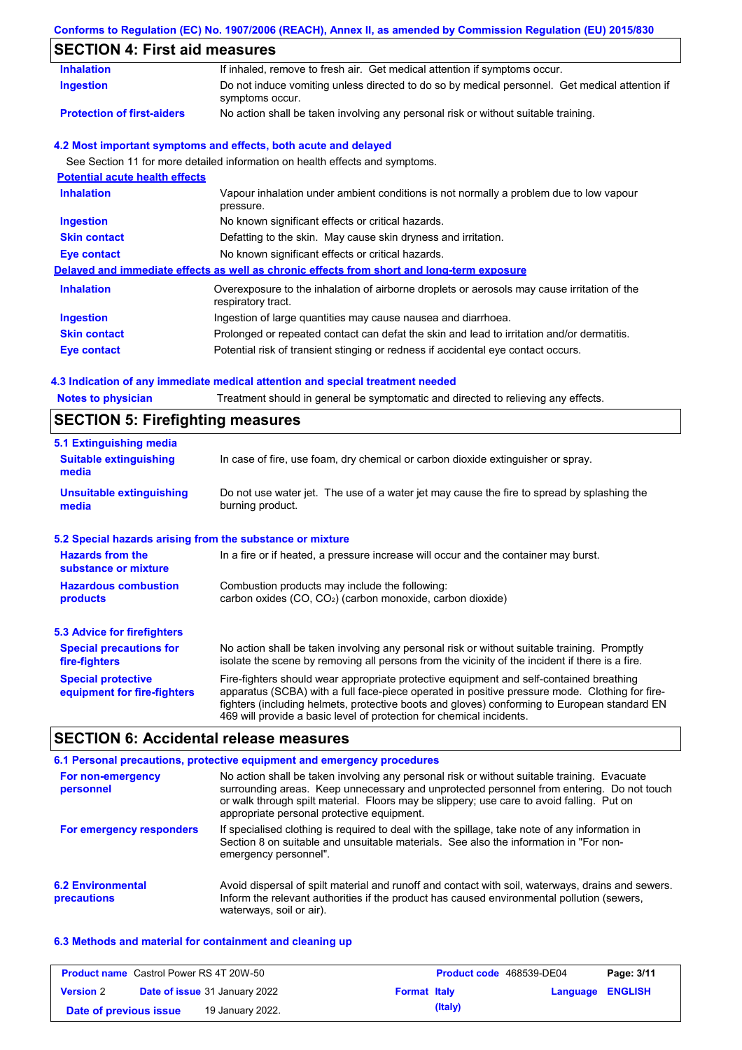### **Conforms to Regulation (EC) No. 1907/2006 (REACH), Annex II, as amended by Commission Regulation (EU) 2015/830**

# **SECTION 4: First aid measures**

| <b>Inhalation</b>                     | If inhaled, remove to fresh air. Get medical attention if symptoms occur.                                         |
|---------------------------------------|-------------------------------------------------------------------------------------------------------------------|
| <b>Ingestion</b>                      | Do not induce vomiting unless directed to do so by medical personnel. Get medical attention if<br>symptoms occur. |
| <b>Protection of first-aiders</b>     | No action shall be taken involving any personal risk or without suitable training.                                |
|                                       | 4.2 Most important symptoms and effects, both acute and delayed                                                   |
|                                       | See Section 11 for more detailed information on health effects and symptoms.                                      |
| <b>Potential acute health effects</b> |                                                                                                                   |
| <b>Inhalation</b>                     | Vapour inhalation under ambient conditions is not normally a problem due to low vapour<br>pressure.               |
| <b>Ingestion</b>                      | No known significant effects or critical hazards.                                                                 |
| <b>Skin contact</b>                   | Defatting to the skin. May cause skin dryness and irritation.                                                     |
| <b>Eye contact</b>                    | No known significant effects or critical hazards.                                                                 |
|                                       | Delayed and immediate effects as well as chronic effects from short and long-term exposure                        |
| <b>Inhalation</b>                     | Overexposure to the inhalation of airborne droplets or aerosols may cause irritation of the<br>respiratory tract. |
| <b>Ingestion</b>                      | Ingestion of large quantities may cause nausea and diarrhoea.                                                     |
| <b>Skin contact</b>                   | Prolonged or repeated contact can defat the skin and lead to irritation and/or dermatitis.                        |
| <b>Eye contact</b>                    | Potential risk of transient stinging or redness if accidental eye contact occurs.                                 |

| <b>Notes to physician</b>                                 | Treatment should in general be symptomatic and directed to relieving any effects.                                                                                                                                                                                                                                                                                 |  |  |  |
|-----------------------------------------------------------|-------------------------------------------------------------------------------------------------------------------------------------------------------------------------------------------------------------------------------------------------------------------------------------------------------------------------------------------------------------------|--|--|--|
| <b>SECTION 5: Firefighting measures</b>                   |                                                                                                                                                                                                                                                                                                                                                                   |  |  |  |
| 5.1 Extinguishing media                                   |                                                                                                                                                                                                                                                                                                                                                                   |  |  |  |
| <b>Suitable extinguishing</b><br>media                    | In case of fire, use foam, dry chemical or carbon dioxide extinguisher or spray.                                                                                                                                                                                                                                                                                  |  |  |  |
| <b>Unsuitable extinguishing</b><br>media                  | Do not use water jet. The use of a water jet may cause the fire to spread by splashing the<br>burning product.                                                                                                                                                                                                                                                    |  |  |  |
| 5.2 Special hazards arising from the substance or mixture |                                                                                                                                                                                                                                                                                                                                                                   |  |  |  |
| <b>Hazards from the</b><br>substance or mixture           | In a fire or if heated, a pressure increase will occur and the container may burst.                                                                                                                                                                                                                                                                               |  |  |  |
| <b>Hazardous combustion</b><br>products                   | Combustion products may include the following:<br>carbon oxides $(CO, CO2)$ (carbon monoxide, carbon dioxide)                                                                                                                                                                                                                                                     |  |  |  |
| 5.3 Advice for firefighters                               |                                                                                                                                                                                                                                                                                                                                                                   |  |  |  |
| <b>Special precautions for</b><br>fire-fighters           | No action shall be taken involving any personal risk or without suitable training. Promptly<br>isolate the scene by removing all persons from the vicinity of the incident if there is a fire.                                                                                                                                                                    |  |  |  |
| <b>Special protective</b><br>equipment for fire-fighters  | Fire-fighters should wear appropriate protective equipment and self-contained breathing<br>apparatus (SCBA) with a full face-piece operated in positive pressure mode. Clothing for fire-<br>fighters (including helmets, protective boots and gloves) conforming to European standard EN<br>469 will provide a basic level of protection for chemical incidents. |  |  |  |

### **SECTION 6: Accidental release measures**

|                                         | 6.1 Personal precautions, protective equipment and emergency procedures                                                                                                                                                                                                                                                             |
|-----------------------------------------|-------------------------------------------------------------------------------------------------------------------------------------------------------------------------------------------------------------------------------------------------------------------------------------------------------------------------------------|
| For non-emergency<br>personnel          | No action shall be taken involving any personal risk or without suitable training. Evacuate<br>surrounding areas. Keep unnecessary and unprotected personnel from entering. Do not touch<br>or walk through spilt material. Floors may be slippery; use care to avoid falling. Put on<br>appropriate personal protective equipment. |
| For emergency responders                | If specialised clothing is required to deal with the spillage, take note of any information in<br>Section 8 on suitable and unsuitable materials. See also the information in "For non-<br>emergency personnel".                                                                                                                    |
| <b>6.2 Environmental</b><br>precautions | Avoid dispersal of spilt material and runoff and contact with soil, waterways, drains and sewers.<br>Inform the relevant authorities if the product has caused environmental pollution (sewers,<br>waterways, soil or air).                                                                                                         |

### **6.3 Methods and material for containment and cleaning up**

| <b>Product name</b> Castrol Power RS 4T 20W-50 |                                      |                     |         | Product code 468539-DE04 | Page: 3/11 |
|------------------------------------------------|--------------------------------------|---------------------|---------|--------------------------|------------|
| <b>Version 2</b>                               | <b>Date of issue 31 January 2022</b> | <b>Format Italy</b> |         | Language ENGLISH         |            |
| Date of previous issue                         | 19 January 2022.                     |                     | (Italy) |                          |            |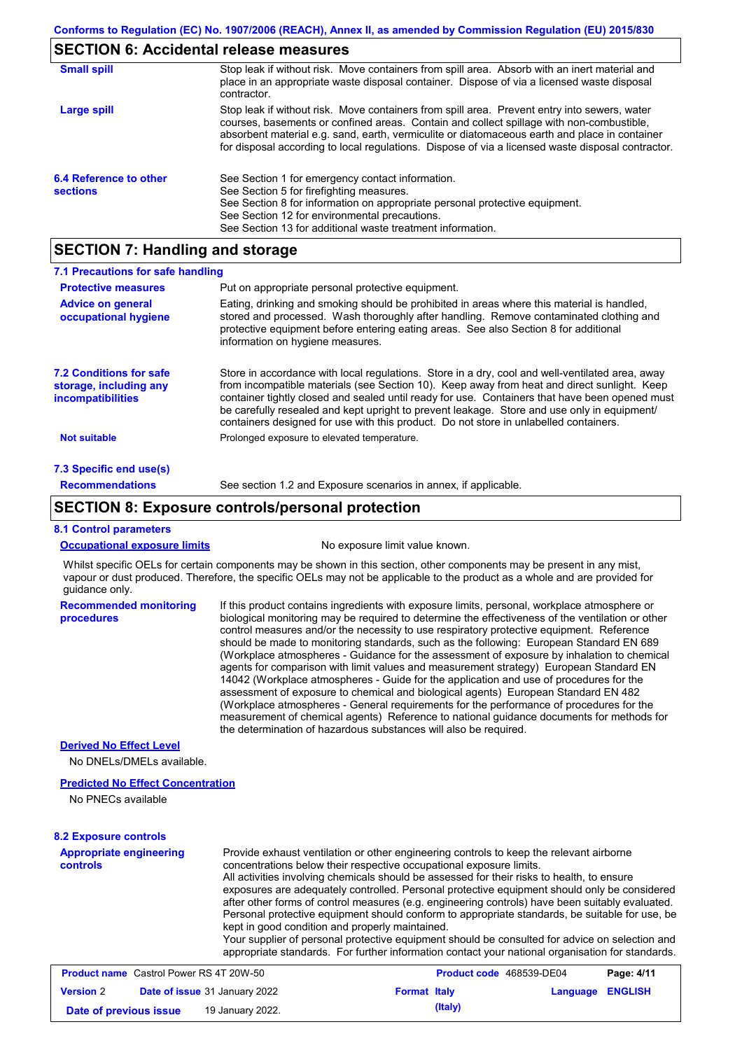### **SECTION 6: Accidental release measures**

| <b>Small spill</b>                        | Stop leak if without risk. Move containers from spill area. Absorb with an inert material and<br>place in an appropriate waste disposal container. Dispose of via a licensed waste disposal<br>contractor.                                                                                                                                                                                     |
|-------------------------------------------|------------------------------------------------------------------------------------------------------------------------------------------------------------------------------------------------------------------------------------------------------------------------------------------------------------------------------------------------------------------------------------------------|
| Large spill                               | Stop leak if without risk. Move containers from spill area. Prevent entry into sewers, water<br>courses, basements or confined areas. Contain and collect spillage with non-combustible,<br>absorbent material e.g. sand, earth, vermiculite or diatomaceous earth and place in container<br>for disposal according to local regulations. Dispose of via a licensed waste disposal contractor. |
| 6.4 Reference to other<br><b>sections</b> | See Section 1 for emergency contact information.<br>See Section 5 for firefighting measures.<br>See Section 8 for information on appropriate personal protective equipment.<br>See Section 12 for environmental precautions.<br>See Section 13 for additional waste treatment information.                                                                                                     |

### **SECTION 7: Handling and storage**

| 7.1 Precautions for safe handling                                             |                                                                                                                                                                                                                                                                                                                                                                                                                                                                                          |
|-------------------------------------------------------------------------------|------------------------------------------------------------------------------------------------------------------------------------------------------------------------------------------------------------------------------------------------------------------------------------------------------------------------------------------------------------------------------------------------------------------------------------------------------------------------------------------|
| <b>Protective measures</b>                                                    | Put on appropriate personal protective equipment.                                                                                                                                                                                                                                                                                                                                                                                                                                        |
| <b>Advice on general</b><br>occupational hygiene                              | Eating, drinking and smoking should be prohibited in areas where this material is handled,<br>stored and processed. Wash thoroughly after handling. Remove contaminated clothing and<br>protective equipment before entering eating areas. See also Section 8 for additional<br>information on hygiene measures.                                                                                                                                                                         |
| <b>7.2 Conditions for safe</b><br>storage, including any<br>incompatibilities | Store in accordance with local requiations. Store in a dry, cool and well-ventilated area, away<br>from incompatible materials (see Section 10). Keep away from heat and direct sunlight. Keep<br>container tightly closed and sealed until ready for use. Containers that have been opened must<br>be carefully resealed and kept upright to prevent leakage. Store and use only in equipment/<br>containers designed for use with this product. Do not store in unlabelled containers. |
| <b>Not suitable</b>                                                           | Prolonged exposure to elevated temperature.                                                                                                                                                                                                                                                                                                                                                                                                                                              |
| 7.3 Specific end use(s)                                                       |                                                                                                                                                                                                                                                                                                                                                                                                                                                                                          |
| <b>Recommendations</b>                                                        | See section 1.2 and Exposure scenarios in annex, if applicable.                                                                                                                                                                                                                                                                                                                                                                                                                          |

### **SECTION 8: Exposure controls/personal protection**

#### **8.1 Control parameters**

**Occupational exposure limits** No exposure limit value known.

Whilst specific OELs for certain components may be shown in this section, other components may be present in any mist, vapour or dust produced. Therefore, the specific OELs may not be applicable to the product as a whole and are provided for guidance only.

**Recommended monitoring procedures** If this product contains ingredients with exposure limits, personal, workplace atmosphere or biological monitoring may be required to determine the effectiveness of the ventilation or other control measures and/or the necessity to use respiratory protective equipment. Reference should be made to monitoring standards, such as the following: European Standard EN 689 (Workplace atmospheres - Guidance for the assessment of exposure by inhalation to chemical agents for comparison with limit values and measurement strategy) European Standard EN 14042 (Workplace atmospheres - Guide for the application and use of procedures for the assessment of exposure to chemical and biological agents) European Standard EN 482 (Workplace atmospheres - General requirements for the performance of procedures for the measurement of chemical agents) Reference to national guidance documents for methods for the determination of hazardous substances will also be required.

#### **Derived No Effect Level**

No DNELs/DMELs available.

#### **Predicted No Effect Concentration**

No PNECs available

#### **8.2 Exposure controls**

| <b>Appropriate engineering</b><br><b>controls</b> | Provide exhaust ventilation or other engineering controls to keep the relevant airborne<br>concentrations below their respective occupational exposure limits.<br>All activities involving chemicals should be assessed for their risks to health, to ensure<br>exposures are adequately controlled. Personal protective equipment should only be considered<br>after other forms of control measures (e.g. engineering controls) have been suitably evaluated.<br>Personal protective equipment should conform to appropriate standards, be suitable for use, be<br>kept in good condition and properly maintained.<br>Your supplier of personal protective equipment should be consulted for advice on selection and<br>appropriate standards. For further information contact your national organisation for standards. |
|---------------------------------------------------|----------------------------------------------------------------------------------------------------------------------------------------------------------------------------------------------------------------------------------------------------------------------------------------------------------------------------------------------------------------------------------------------------------------------------------------------------------------------------------------------------------------------------------------------------------------------------------------------------------------------------------------------------------------------------------------------------------------------------------------------------------------------------------------------------------------------------|
|---------------------------------------------------|----------------------------------------------------------------------------------------------------------------------------------------------------------------------------------------------------------------------------------------------------------------------------------------------------------------------------------------------------------------------------------------------------------------------------------------------------------------------------------------------------------------------------------------------------------------------------------------------------------------------------------------------------------------------------------------------------------------------------------------------------------------------------------------------------------------------------|

| <b>Product name</b> Castrol Power RS 4T 20W-50 |  |                                      |                     | <b>Product code</b> 468539-DE04 | Page: 4/11       |  |
|------------------------------------------------|--|--------------------------------------|---------------------|---------------------------------|------------------|--|
| <b>Version 2</b>                               |  | <b>Date of issue 31 January 2022</b> | <b>Format Italy</b> |                                 | Language ENGLISH |  |
| Date of previous issue                         |  | 19 January 2022.                     |                     | (Italy)                         |                  |  |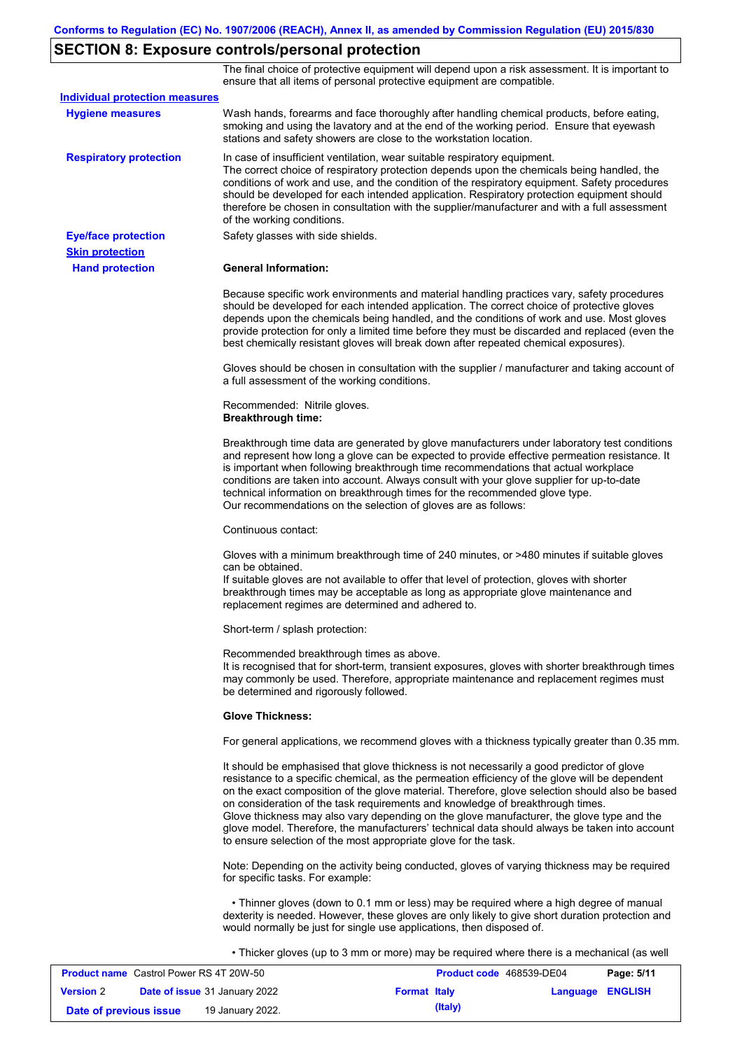# **SECTION 8: Exposure controls/personal protection**

The final choice of protective equipment will depend upon a risk assessment. It is important to ensure that all items of personal protective equipment are compatible.

| <b>Individual protection measures</b> |                                                                                                                                                                                                                                                                                                                                                                                                                                                                                                                                                                                                                                                   |
|---------------------------------------|---------------------------------------------------------------------------------------------------------------------------------------------------------------------------------------------------------------------------------------------------------------------------------------------------------------------------------------------------------------------------------------------------------------------------------------------------------------------------------------------------------------------------------------------------------------------------------------------------------------------------------------------------|
| <b>Hygiene measures</b>               | Wash hands, forearms and face thoroughly after handling chemical products, before eating,<br>smoking and using the lavatory and at the end of the working period. Ensure that eyewash<br>stations and safety showers are close to the workstation location.                                                                                                                                                                                                                                                                                                                                                                                       |
| <b>Respiratory protection</b>         | In case of insufficient ventilation, wear suitable respiratory equipment.<br>The correct choice of respiratory protection depends upon the chemicals being handled, the<br>conditions of work and use, and the condition of the respiratory equipment. Safety procedures<br>should be developed for each intended application. Respiratory protection equipment should<br>therefore be chosen in consultation with the supplier/manufacturer and with a full assessment<br>of the working conditions.                                                                                                                                             |
| <b>Eye/face protection</b>            | Safety glasses with side shields.                                                                                                                                                                                                                                                                                                                                                                                                                                                                                                                                                                                                                 |
| <b>Skin protection</b>                |                                                                                                                                                                                                                                                                                                                                                                                                                                                                                                                                                                                                                                                   |
| <b>Hand protection</b>                | <b>General Information:</b>                                                                                                                                                                                                                                                                                                                                                                                                                                                                                                                                                                                                                       |
|                                       | Because specific work environments and material handling practices vary, safety procedures<br>should be developed for each intended application. The correct choice of protective gloves<br>depends upon the chemicals being handled, and the conditions of work and use. Most gloves<br>provide protection for only a limited time before they must be discarded and replaced (even the<br>best chemically resistant gloves will break down after repeated chemical exposures).                                                                                                                                                                  |
|                                       | Gloves should be chosen in consultation with the supplier / manufacturer and taking account of<br>a full assessment of the working conditions.                                                                                                                                                                                                                                                                                                                                                                                                                                                                                                    |
|                                       | Recommended: Nitrile gloves.<br><b>Breakthrough time:</b>                                                                                                                                                                                                                                                                                                                                                                                                                                                                                                                                                                                         |
|                                       | Breakthrough time data are generated by glove manufacturers under laboratory test conditions<br>and represent how long a glove can be expected to provide effective permeation resistance. It<br>is important when following breakthrough time recommendations that actual workplace<br>conditions are taken into account. Always consult with your glove supplier for up-to-date<br>technical information on breakthrough times for the recommended glove type.<br>Our recommendations on the selection of gloves are as follows:                                                                                                                |
|                                       | Continuous contact:                                                                                                                                                                                                                                                                                                                                                                                                                                                                                                                                                                                                                               |
|                                       | Gloves with a minimum breakthrough time of 240 minutes, or >480 minutes if suitable gloves<br>can be obtained.<br>If suitable gloves are not available to offer that level of protection, gloves with shorter<br>breakthrough times may be acceptable as long as appropriate glove maintenance and<br>replacement regimes are determined and adhered to.                                                                                                                                                                                                                                                                                          |
|                                       | Short-term / splash protection:                                                                                                                                                                                                                                                                                                                                                                                                                                                                                                                                                                                                                   |
|                                       | Recommended breakthrough times as above.<br>It is recognised that for short-term, transient exposures, gloves with shorter breakthrough times<br>may commonly be used. Therefore, appropriate maintenance and replacement regimes must<br>be determined and rigorously followed.                                                                                                                                                                                                                                                                                                                                                                  |
|                                       | <b>Glove Thickness:</b>                                                                                                                                                                                                                                                                                                                                                                                                                                                                                                                                                                                                                           |
|                                       | For general applications, we recommend gloves with a thickness typically greater than 0.35 mm.                                                                                                                                                                                                                                                                                                                                                                                                                                                                                                                                                    |
|                                       | It should be emphasised that glove thickness is not necessarily a good predictor of glove<br>resistance to a specific chemical, as the permeation efficiency of the glove will be dependent<br>on the exact composition of the glove material. Therefore, glove selection should also be based<br>on consideration of the task requirements and knowledge of breakthrough times.<br>Glove thickness may also vary depending on the glove manufacturer, the glove type and the<br>glove model. Therefore, the manufacturers' technical data should always be taken into account<br>to ensure selection of the most appropriate glove for the task. |
|                                       | Note: Depending on the activity being conducted, gloves of varying thickness may be required<br>for specific tasks. For example:                                                                                                                                                                                                                                                                                                                                                                                                                                                                                                                  |
|                                       | • Thinner gloves (down to 0.1 mm or less) may be required where a high degree of manual<br>dexterity is needed. However, these gloves are only likely to give short duration protection and<br>would normally be just for single use applications, then disposed of.                                                                                                                                                                                                                                                                                                                                                                              |
|                                       | • Thicker gloves (up to 3 mm or more) may be required where there is a mechanical (as well                                                                                                                                                                                                                                                                                                                                                                                                                                                                                                                                                        |

| <b>Product name</b> Castrol Power RS 4T 20W-50 |                                      |                     | <b>Product code</b> 468539-DE04 | Page: 5/11 |
|------------------------------------------------|--------------------------------------|---------------------|---------------------------------|------------|
| <b>Version 2</b>                               | <b>Date of issue 31 January 2022</b> | <b>Format Italy</b> | <b>Language ENGLISH</b>         |            |
| Date of previous issue                         | 19 January 2022.                     | (Italy)             |                                 |            |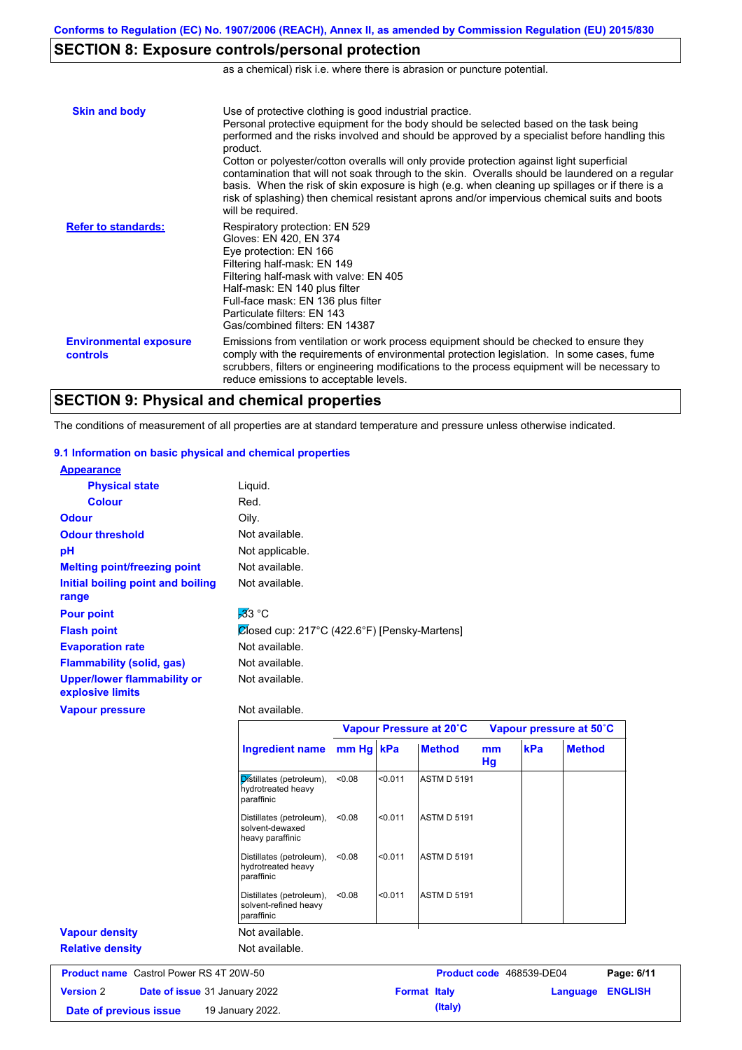# **SECTION 8: Exposure controls/personal protection**

as a chemical) risk i.e. where there is abrasion or puncture potential.

| <b>Skin and body</b>                             | Use of protective clothing is good industrial practice.<br>Personal protective equipment for the body should be selected based on the task being<br>performed and the risks involved and should be approved by a specialist before handling this<br>product.<br>Cotton or polyester/cotton overalls will only provide protection against light superficial<br>contamination that will not soak through to the skin. Overalls should be laundered on a regular<br>basis. When the risk of skin exposure is high (e.g. when cleaning up spillages or if there is a<br>risk of splashing) then chemical resistant aprons and/or impervious chemical suits and boots<br>will be required. |
|--------------------------------------------------|---------------------------------------------------------------------------------------------------------------------------------------------------------------------------------------------------------------------------------------------------------------------------------------------------------------------------------------------------------------------------------------------------------------------------------------------------------------------------------------------------------------------------------------------------------------------------------------------------------------------------------------------------------------------------------------|
| <b>Refer to standards:</b>                       | Respiratory protection: EN 529<br>Gloves: EN 420, EN 374<br>Eye protection: EN 166<br>Filtering half-mask: EN 149<br>Filtering half-mask with valve: EN 405<br>Half-mask: EN 140 plus filter<br>Full-face mask: EN 136 plus filter<br>Particulate filters: EN 143<br>Gas/combined filters: EN 14387                                                                                                                                                                                                                                                                                                                                                                                   |
| <b>Environmental exposure</b><br><b>controls</b> | Emissions from ventilation or work process equipment should be checked to ensure they<br>comply with the requirements of environmental protection legislation. In some cases, fume<br>scrubbers, filters or engineering modifications to the process equipment will be necessary to<br>reduce emissions to acceptable levels.                                                                                                                                                                                                                                                                                                                                                         |

### **SECTION 9: Physical and chemical properties**

The conditions of measurement of all properties are at standard temperature and pressure unless otherwise indicated.

#### **9.1 Information on basic physical and chemical properties**

| <b>Appearance</b>                   |                                              |
|-------------------------------------|----------------------------------------------|
| <b>Physical state</b>               | Liquid.                                      |
| <b>Colour</b>                       | Red.                                         |
| <b>Odour</b>                        | Oily.                                        |
| <b>Odour threshold</b>              | Not available.                               |
| рH                                  | Not applicable.                              |
| <b>Melting point/freezing point</b> | Not available.                               |
| Initial boiling point and boiling   | Not available.                               |
| range                               |                                              |
| <b>Pour point</b>                   | $\overline{3}3$ °C                           |
| <b>Flash point</b>                  | Closed cup: 217°C (422.6°F) [Pensky-Martens] |
| <b>Evaporation rate</b>             | Not available.                               |
| <b>Flammability (solid, gas)</b>    | Not available.                               |
| <b>Upper/lower flammability or</b>  | Not available.                               |
| explosive limits                    |                                              |
| <b>Vapour pressure</b>              | Not available.                               |
|                                     |                                              |

|                                                   |                                                                 |           |         | Vapour Pressure at 20°C  |          |     | Vapour pressure at 50°C |                |
|---------------------------------------------------|-----------------------------------------------------------------|-----------|---------|--------------------------|----------|-----|-------------------------|----------------|
|                                                   | Ingredient name                                                 | mm Hg kPa |         | <b>Method</b>            | mm<br>Hg | kPa | <b>Method</b>           |                |
|                                                   | Distillates (petroleum),<br>hydrotreated heavy<br>paraffinic    | < 0.08    | < 0.011 | <b>ASTM D 5191</b>       |          |     |                         |                |
|                                                   | Distillates (petroleum),<br>solvent-dewaxed<br>heavy paraffinic | < 0.08    | < 0.011 | <b>ASTM D 5191</b>       |          |     |                         |                |
|                                                   | Distillates (petroleum),<br>hydrotreated heavy<br>paraffinic    | < 0.08    | < 0.011 | <b>ASTM D 5191</b>       |          |     |                         |                |
|                                                   | Distillates (petroleum),<br>solvent-refined heavy<br>paraffinic | < 0.08    | < 0.011 | <b>ASTM D 5191</b>       |          |     |                         |                |
| <b>Vapour density</b>                             | Not available.                                                  |           |         |                          |          |     |                         |                |
| <b>Relative density</b>                           | Not available.                                                  |           |         |                          |          |     |                         |                |
| <b>Product name</b> Castrol Power RS 4T 20W-50    |                                                                 |           |         | Product code 468539-DE04 |          |     |                         | Page: 6/11     |
| <b>Version 2</b><br>Date of issue 31 January 2022 |                                                                 |           |         | <b>Format Italy</b>      |          |     | Language                | <b>ENGLISH</b> |
| 19 January 2022.<br>Date of previous issue        |                                                                 |           |         | (Italy)                  |          |     |                         |                |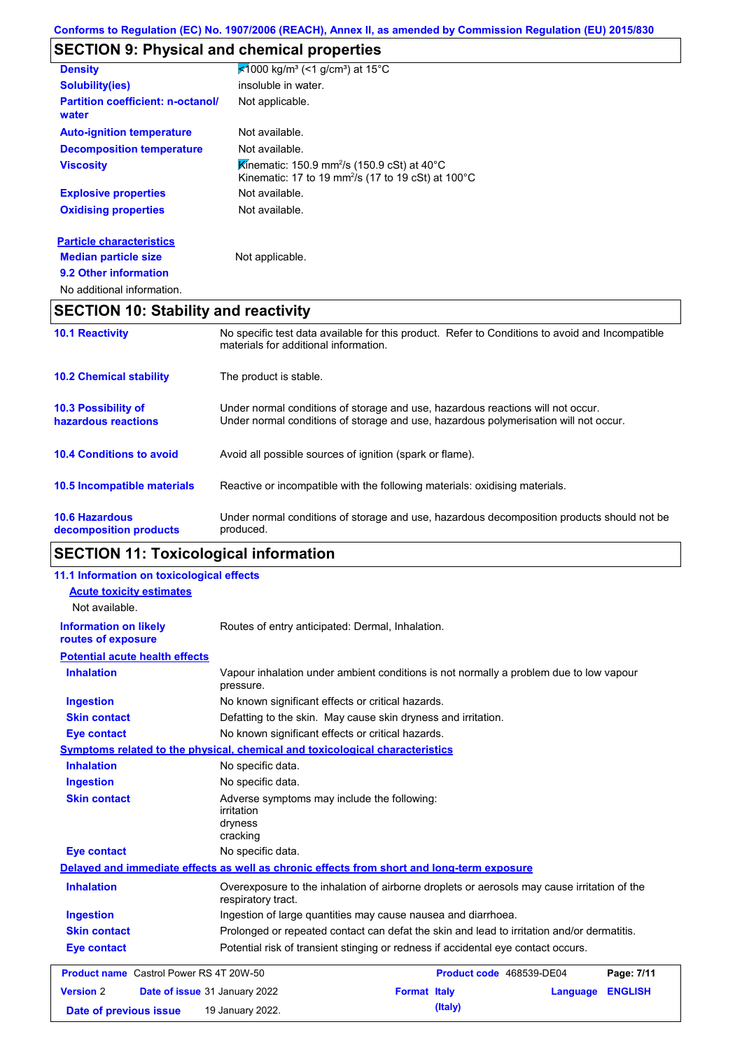# **SECTION 9: Physical and chemical properties**

| <b>Density</b>                                    | $\frac{1}{2}$ 1000 kg/m <sup>3</sup> (<1 g/cm <sup>3</sup> ) at 15°C                                                                                                    |  |  |  |  |
|---------------------------------------------------|-------------------------------------------------------------------------------------------------------------------------------------------------------------------------|--|--|--|--|
| <b>Solubility(ies)</b>                            | insoluble in water.                                                                                                                                                     |  |  |  |  |
| <b>Partition coefficient: n-octanol/</b><br>water | Not applicable.                                                                                                                                                         |  |  |  |  |
| <b>Auto-ignition temperature</b>                  | Not available.                                                                                                                                                          |  |  |  |  |
| <b>Decomposition temperature</b>                  | Not available.                                                                                                                                                          |  |  |  |  |
| <b>Viscosity</b>                                  | Kinematic: 150.9 mm <sup>2</sup> /s (150.9 cSt) at 40 $^{\circ}$ C<br>Kinematic: 17 to 19 mm <sup>2</sup> /s (17 to 19 cSt) at 100 $^{\circ}$ C                         |  |  |  |  |
| <b>Explosive properties</b>                       | Not available.                                                                                                                                                          |  |  |  |  |
| <b>Oxidising properties</b>                       | Not available.                                                                                                                                                          |  |  |  |  |
|                                                   |                                                                                                                                                                         |  |  |  |  |
| <b>Particle characteristics</b>                   |                                                                                                                                                                         |  |  |  |  |
| <b>Median particle size</b>                       | Not applicable.                                                                                                                                                         |  |  |  |  |
| 9.2 Other information                             |                                                                                                                                                                         |  |  |  |  |
| No additional information.                        |                                                                                                                                                                         |  |  |  |  |
| <b>SECTION 10: Stability and reactivity</b>       |                                                                                                                                                                         |  |  |  |  |
| <b>10.1 Reactivity</b>                            | No specific test data available for this product. Refer to Conditions to avoid and Incompatible<br>materials for additional information.                                |  |  |  |  |
| <b>10.2 Chemical stability</b>                    | The product is stable.                                                                                                                                                  |  |  |  |  |
| <b>10.3 Possibility of</b><br>hazardous reactions | Under normal conditions of storage and use, hazardous reactions will not occur.<br>Under normal conditions of storage and use, hazardous polymerisation will not occur. |  |  |  |  |

| 10.4 Conditions to avoid | Avoid all possible sources of ignition (spark or flame). |
|--------------------------|----------------------------------------------------------|
|--------------------------|----------------------------------------------------------|

| 10.5 Incompatible materials | Reactive or incompatible with the following materials: oxidising materials. |  |
|-----------------------------|-----------------------------------------------------------------------------|--|
|                             |                                                                             |  |

| <b>10.6 Hazardous</b>  | Under normal conditions of storage and use, hazardous decomposition products should not be |
|------------------------|--------------------------------------------------------------------------------------------|
| decomposition products | produced.                                                                                  |

# **SECTION 11: Toxicological information**

| 11.1 Information on toxicological effects          |                                                                                                                   |
|----------------------------------------------------|-------------------------------------------------------------------------------------------------------------------|
| <b>Acute toxicity estimates</b>                    |                                                                                                                   |
| Not available.                                     |                                                                                                                   |
| <b>Information on likely</b><br>routes of exposure | Routes of entry anticipated: Dermal, Inhalation.                                                                  |
| <b>Potential acute health effects</b>              |                                                                                                                   |
| <b>Inhalation</b>                                  | Vapour inhalation under ambient conditions is not normally a problem due to low vapour<br>pressure.               |
| <b>Ingestion</b>                                   | No known significant effects or critical hazards.                                                                 |
| <b>Skin contact</b>                                | Defatting to the skin. May cause skin dryness and irritation.                                                     |
| <b>Eye contact</b>                                 | No known significant effects or critical hazards.                                                                 |
|                                                    | <b>Symptoms related to the physical, chemical and toxicological characteristics</b>                               |
| <b>Inhalation</b>                                  | No specific data.                                                                                                 |
| <b>Ingestion</b>                                   | No specific data.                                                                                                 |
| <b>Skin contact</b>                                | Adverse symptoms may include the following:<br><i>irritation</i><br>dryness<br>cracking                           |
| <b>Eye contact</b>                                 | No specific data.                                                                                                 |
|                                                    | Delayed and immediate effects as well as chronic effects from short and long-term exposure                        |
| <b>Inhalation</b>                                  | Overexposure to the inhalation of airborne droplets or aerosols may cause irritation of the<br>respiratory tract. |
| <b>Ingestion</b>                                   | Ingestion of large quantities may cause nausea and diarrhoea.                                                     |
| <b>Skin contact</b>                                | Prolonged or repeated contact can defat the skin and lead to irritation and/or dermatitis.                        |
| <b>Eye contact</b>                                 | Potential risk of transient stinging or redness if accidental eye contact occurs.                                 |
| <b>Product name</b> Castrol Power RS 4T 20W-50     | Product code 468539-DE04<br>Page: 7/11                                                                            |
| <b>Version 2</b>                                   | <b>ENGLISH</b><br>Date of issue 31 January 2022<br><b>Format Italy</b><br>Language                                |
| Date of previous issue                             | (Italy)<br>19 January 2022.                                                                                       |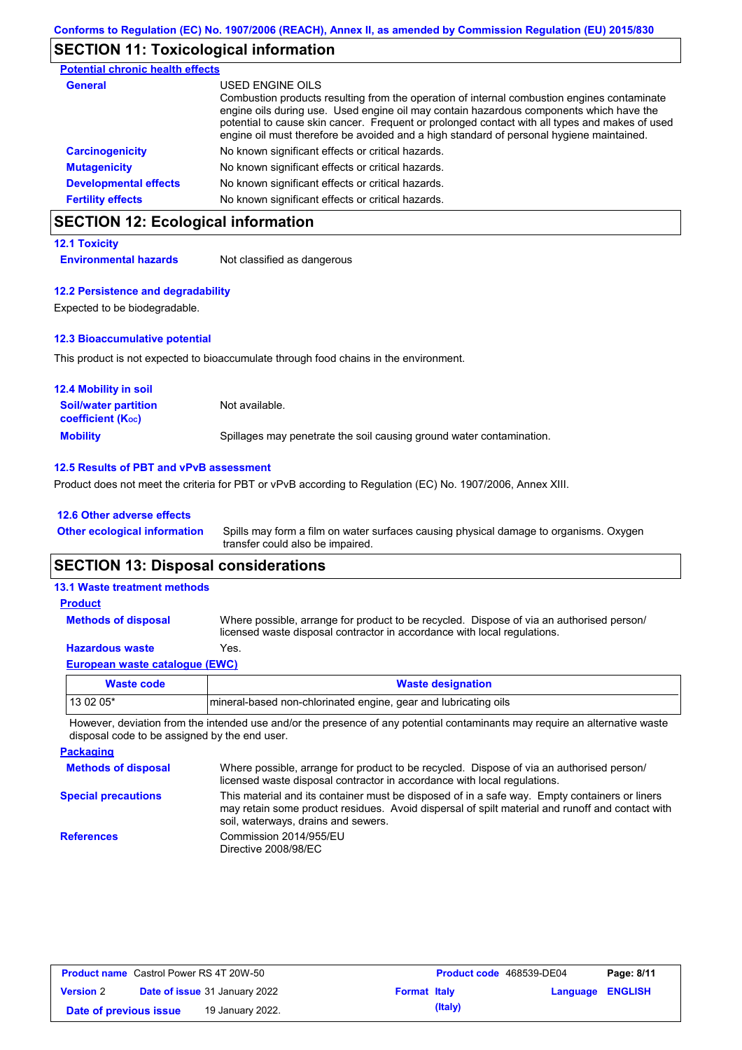#### **SECTION 11: Toxicological information**

| <b>Potential chronic health effects</b> |                                                                                                                                                                                                                                                                                                                                                                                                          |
|-----------------------------------------|----------------------------------------------------------------------------------------------------------------------------------------------------------------------------------------------------------------------------------------------------------------------------------------------------------------------------------------------------------------------------------------------------------|
| <b>General</b>                          | USED ENGINE OILS<br>Combustion products resulting from the operation of internal combustion engines contaminate<br>engine oils during use. Used engine oil may contain hazardous components which have the<br>potential to cause skin cancer. Frequent or prolonged contact with all types and makes of used<br>engine oil must therefore be avoided and a high standard of personal hygiene maintained. |
| <b>Carcinogenicity</b>                  | No known significant effects or critical hazards.                                                                                                                                                                                                                                                                                                                                                        |
| <b>Mutagenicity</b>                     | No known significant effects or critical hazards.                                                                                                                                                                                                                                                                                                                                                        |
| <b>Developmental effects</b>            | No known significant effects or critical hazards.                                                                                                                                                                                                                                                                                                                                                        |
| <b>Fertility effects</b>                | No known significant effects or critical hazards.                                                                                                                                                                                                                                                                                                                                                        |

# **SECTION 12: Ecological information**

#### **12.1 Toxicity**

**Environmental hazards** Not classified as dangerous

#### **12.2 Persistence and degradability**

Expected to be biodegradable.

#### **12.3 Bioaccumulative potential**

This product is not expected to bioaccumulate through food chains in the environment.

| <b>12.4 Mobility in soil</b>                                  |                                                                      |
|---------------------------------------------------------------|----------------------------------------------------------------------|
| <b>Soil/water partition</b><br>coefficient (K <sub>oc</sub> ) | Not available.                                                       |
| <b>Mobility</b>                                               | Spillages may penetrate the soil causing ground water contamination. |

#### **12.5 Results of PBT and vPvB assessment**

Product does not meet the criteria for PBT or vPvB according to Regulation (EC) No. 1907/2006, Annex XIII.

#### **12.6 Other adverse effects**

**Other ecological information**

Spills may form a film on water surfaces causing physical damage to organisms. Oxygen transfer could also be impaired.

### **SECTION 13: Disposal considerations**

# **13.1 Waste treatment methods**

**Methods of disposal Product**

Where possible, arrange for product to be recycled. Dispose of via an authorised person/ licensed waste disposal contractor in accordance with local regulations.

#### **European waste catalogue (EWC) Hazardous waste** Yes.

| Waste code | <b>Waste designation</b>                                        |
|------------|-----------------------------------------------------------------|
| $130205*$  | mineral-based non-chlorinated engine, gear and lubricating oils |

However, deviation from the intended use and/or the presence of any potential contaminants may require an alternative waste disposal code to be assigned by the end user.

#### **Packaging Methods of disposal Special precautions** Where possible, arrange for product to be recycled. Dispose of via an authorised person/ licensed waste disposal contractor in accordance with local regulations. This material and its container must be disposed of in a safe way. Empty containers or liners may retain some product residues. Avoid dispersal of spilt material and runoff and contact with soil, waterways, drains and sewers. **References** Commission 2014/955/EU Directive 2008/98/EC

| <b>Product name</b> Castrol Power RS 4T 20W-50 |                                      | Product code 468539-DE04 |                         | Page: 8/11 |
|------------------------------------------------|--------------------------------------|--------------------------|-------------------------|------------|
| <b>Version 2</b>                               | <b>Date of issue 31 January 2022</b> | <b>Format Italy</b>      | <b>Language ENGLISH</b> |            |
| Date of previous issue                         | 19 January 2022.                     | (Italy)                  |                         |            |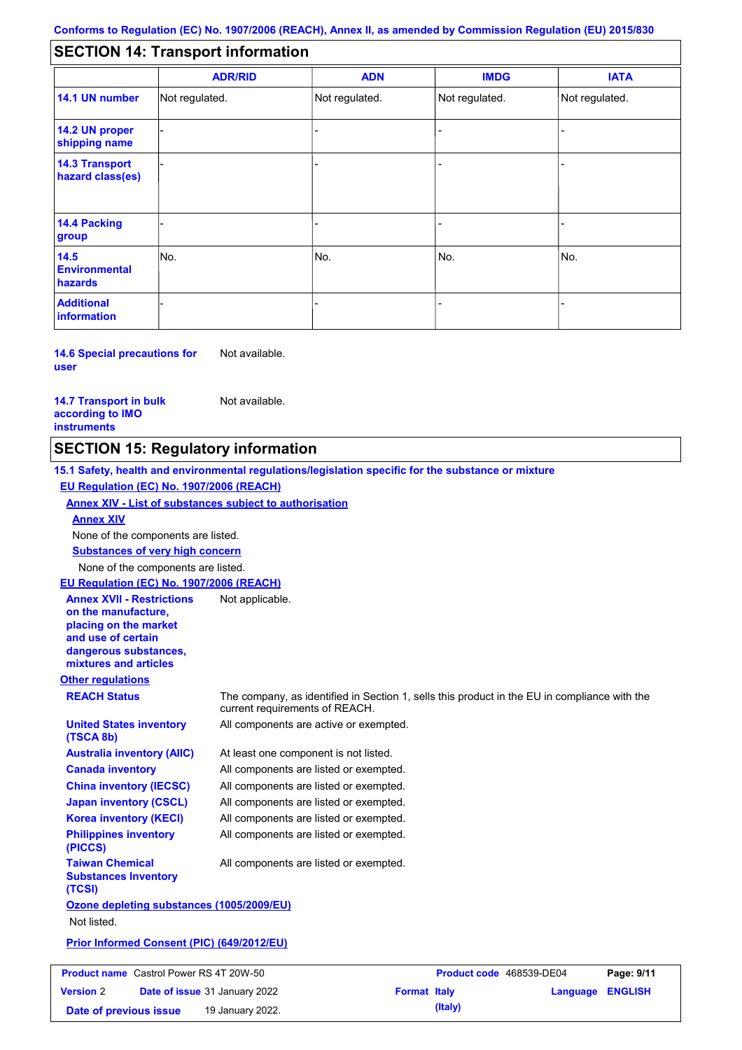#### - - - - - - - - - Not regulated. Not regulated. Not regulated. - - - **SECTION 14: Transport information ADR/RID IMDG IATA 14.1 UN number 14.2 UN proper shipping name 14.3 Transport hazard class(es) 14.4 Packing group ADN Additional information 14.5 Environmental hazards** No. 1980 | No. 1980 | No. 1980 | No. 1980 | No. 1980 | No. 1980 | No. 1980 | No. 1980 | No. 1980 | No. 1980 | Not regulated. - -<br>No. - -

**14.6 Special precautions for user** Not available.

**14.7 Transport in bulk according to IMO instruments**

Not available.

**Date of previous issue 19 January 2022. (Italy)** (Italy)

### **SECTION 15: Regulatory information**

**Other regulations REACH Status** The company, as identified in Section 1, sells this product in the EU in compliance with the current requirements of REACH. **15.1 Safety, health and environmental regulations/legislation specific for the substance or mixture EU Regulation (EC) No. 1907/2006 (REACH) Annex XIV - List of substances subject to authorisation Substances of very high concern** None of the components are listed. At least one component is not listed. All components are listed or exempted. All components are listed or exempted. All components are listed or exempted. All components are active or exempted. All components are listed or exempted. All components are listed or exempted. **United States inventory (TSCA 8b) Australia inventory (AIIC) Canada inventory China inventory (IECSC) Japan inventory (CSCL) Korea inventory (KECI) Philippines inventory (PICCS) Taiwan Chemical Substances Inventory (TCSI)** All components are listed or exempted. **Ozone depleting substances (1005/2009/EU)** Not listed. **Prior Informed Consent (PIC) (649/2012/EU)** None of the components are listed. **Annex XIV EU Regulation (EC) No. 1907/2006 (REACH) Annex XVII - Restrictions on the manufacture, placing on the market and use of certain dangerous substances, mixtures and articles** Not applicable. **Product name** Castrol Power RS 4T 20W-50 **Version** 2 **Product code** 468539-DE04 **Page: 9/11 Date of issue** 31 January 2022 **Format Italy Language ENGLISH**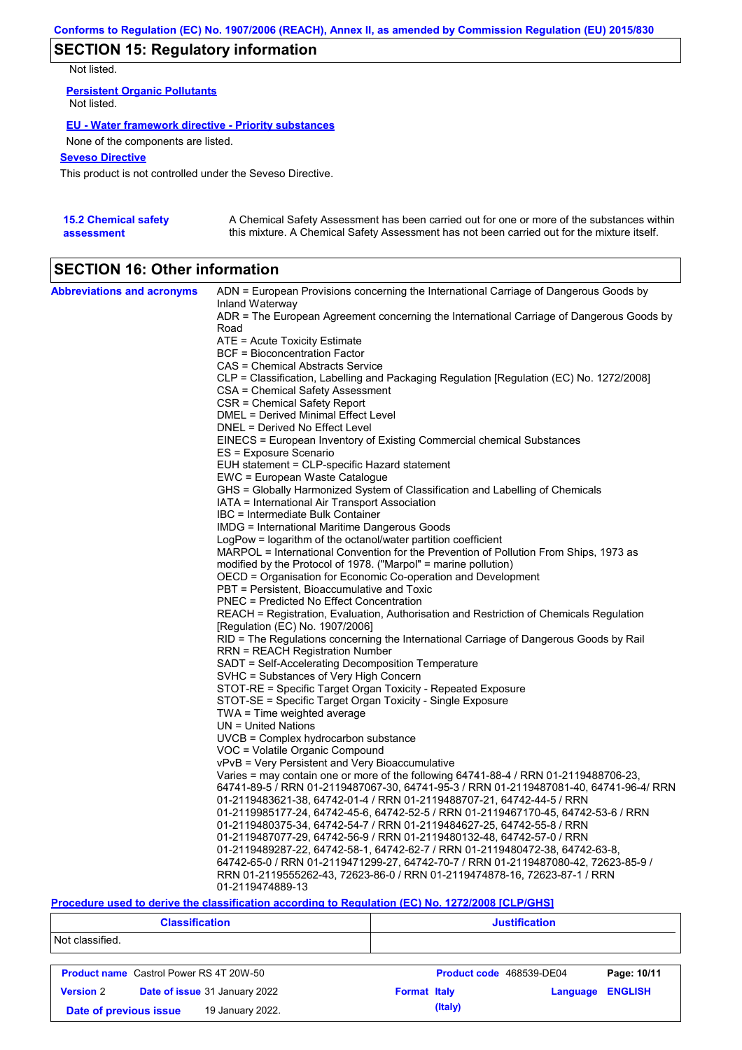### **SECTION 15: Regulatory information**

Not listed.

**Persistent Organic Pollutants** Not listed.

#### **EU - Water framework directive - Priority substances**

None of the components are listed.

#### **Seveso Directive**

This product is not controlled under the Seveso Directive.

| <b>15.2 Chemical safety</b> | A Chemical Safety Assessment has been carried out for one or more of the substances within  |
|-----------------------------|---------------------------------------------------------------------------------------------|
| assessment                  | this mixture. A Chemical Safety Assessment has not been carried out for the mixture itself. |

# **SECTION 16: Other information**

| <b>Abbreviations and acronyms</b> | ADN = European Provisions concerning the International Carriage of Dangerous Goods by                                     |
|-----------------------------------|---------------------------------------------------------------------------------------------------------------------------|
|                                   | Inland Waterway                                                                                                           |
|                                   | ADR = The European Agreement concerning the International Carriage of Dangerous Goods by<br>Road                          |
|                                   | ATE = Acute Toxicity Estimate                                                                                             |
|                                   | BCF = Bioconcentration Factor                                                                                             |
|                                   | CAS = Chemical Abstracts Service                                                                                          |
|                                   | CLP = Classification, Labelling and Packaging Regulation [Regulation (EC) No. 1272/2008]                                  |
|                                   | CSA = Chemical Safety Assessment                                                                                          |
|                                   | CSR = Chemical Safety Report                                                                                              |
|                                   | DMEL = Derived Minimal Effect Level                                                                                       |
|                                   | DNEL = Derived No Effect Level                                                                                            |
|                                   | EINECS = European Inventory of Existing Commercial chemical Substances                                                    |
|                                   | ES = Exposure Scenario                                                                                                    |
|                                   | EUH statement = CLP-specific Hazard statement                                                                             |
|                                   | EWC = European Waste Catalogue                                                                                            |
|                                   | GHS = Globally Harmonized System of Classification and Labelling of Chemicals                                             |
|                                   | IATA = International Air Transport Association                                                                            |
|                                   | IBC = Intermediate Bulk Container                                                                                         |
|                                   | <b>IMDG</b> = International Maritime Dangerous Goods                                                                      |
|                                   | LogPow = logarithm of the octanol/water partition coefficient                                                             |
|                                   | MARPOL = International Convention for the Prevention of Pollution From Ships, 1973 as                                     |
|                                   | modified by the Protocol of 1978. ("Marpol" = marine pollution)                                                           |
|                                   | OECD = Organisation for Economic Co-operation and Development                                                             |
|                                   | PBT = Persistent, Bioaccumulative and Toxic                                                                               |
|                                   | <b>PNEC</b> = Predicted No Effect Concentration                                                                           |
|                                   | REACH = Registration, Evaluation, Authorisation and Restriction of Chemicals Regulation                                   |
|                                   | [Regulation (EC) No. 1907/2006]                                                                                           |
|                                   | RID = The Regulations concerning the International Carriage of Dangerous Goods by Rail<br>RRN = REACH Registration Number |
|                                   | SADT = Self-Accelerating Decomposition Temperature                                                                        |
|                                   | SVHC = Substances of Very High Concern                                                                                    |
|                                   | STOT-RE = Specific Target Organ Toxicity - Repeated Exposure                                                              |
|                                   | STOT-SE = Specific Target Organ Toxicity - Single Exposure                                                                |
|                                   | $TWA = Time$ weighted average                                                                                             |
|                                   | $UN = United Nations$                                                                                                     |
|                                   | UVCB = Complex hydrocarbon substance                                                                                      |
|                                   | VOC = Volatile Organic Compound                                                                                           |
|                                   | vPvB = Very Persistent and Very Bioaccumulative                                                                           |
|                                   | Varies = may contain one or more of the following 64741-88-4 / RRN 01-2119488706-23,                                      |
|                                   | 64741-89-5 / RRN 01-2119487067-30, 64741-95-3 / RRN 01-2119487081-40, 64741-96-4/ RRN                                     |
|                                   | 01-2119483621-38, 64742-01-4 / RRN 01-2119488707-21, 64742-44-5 / RRN                                                     |
|                                   | 01-2119985177-24, 64742-45-6, 64742-52-5 / RRN 01-2119467170-45, 64742-53-6 / RRN                                         |
|                                   | 01-2119480375-34, 64742-54-7 / RRN 01-2119484627-25, 64742-55-8 / RRN                                                     |
|                                   | 01-2119487077-29, 64742-56-9 / RRN 01-2119480132-48, 64742-57-0 / RRN                                                     |
|                                   | 01-2119489287-22, 64742-58-1, 64742-62-7 / RRN 01-2119480472-38, 64742-63-8,                                              |
|                                   | 64742-65-0 / RRN 01-2119471299-27, 64742-70-7 / RRN 01-2119487080-42, 72623-85-9 /                                        |
|                                   | RRN 01-2119555262-43, 72623-86-0 / RRN 01-2119474878-16, 72623-87-1 / RRN                                                 |
|                                   | 01-2119474889-13                                                                                                          |

#### **Procedure used to derive the classification according to Regulation (EC) No. 1272/2008 [CLP/GHS]**

| <b>Classification</b>  |                                                | <b>Justification</b> |                     |         |                          |                |
|------------------------|------------------------------------------------|----------------------|---------------------|---------|--------------------------|----------------|
| Not classified.        |                                                |                      |                     |         |                          |                |
|                        | <b>Product name</b> Castrol Power RS 4T 20W-50 |                      |                     |         | Product code 468539-DE04 | Page: 10/11    |
| <b>Version 2</b>       | Date of issue 31 January 2022                  |                      | <b>Format Italy</b> |         | Language                 | <b>ENGLISH</b> |
| Date of previous issue | 19 January 2022.                               |                      |                     | (Italy) |                          |                |